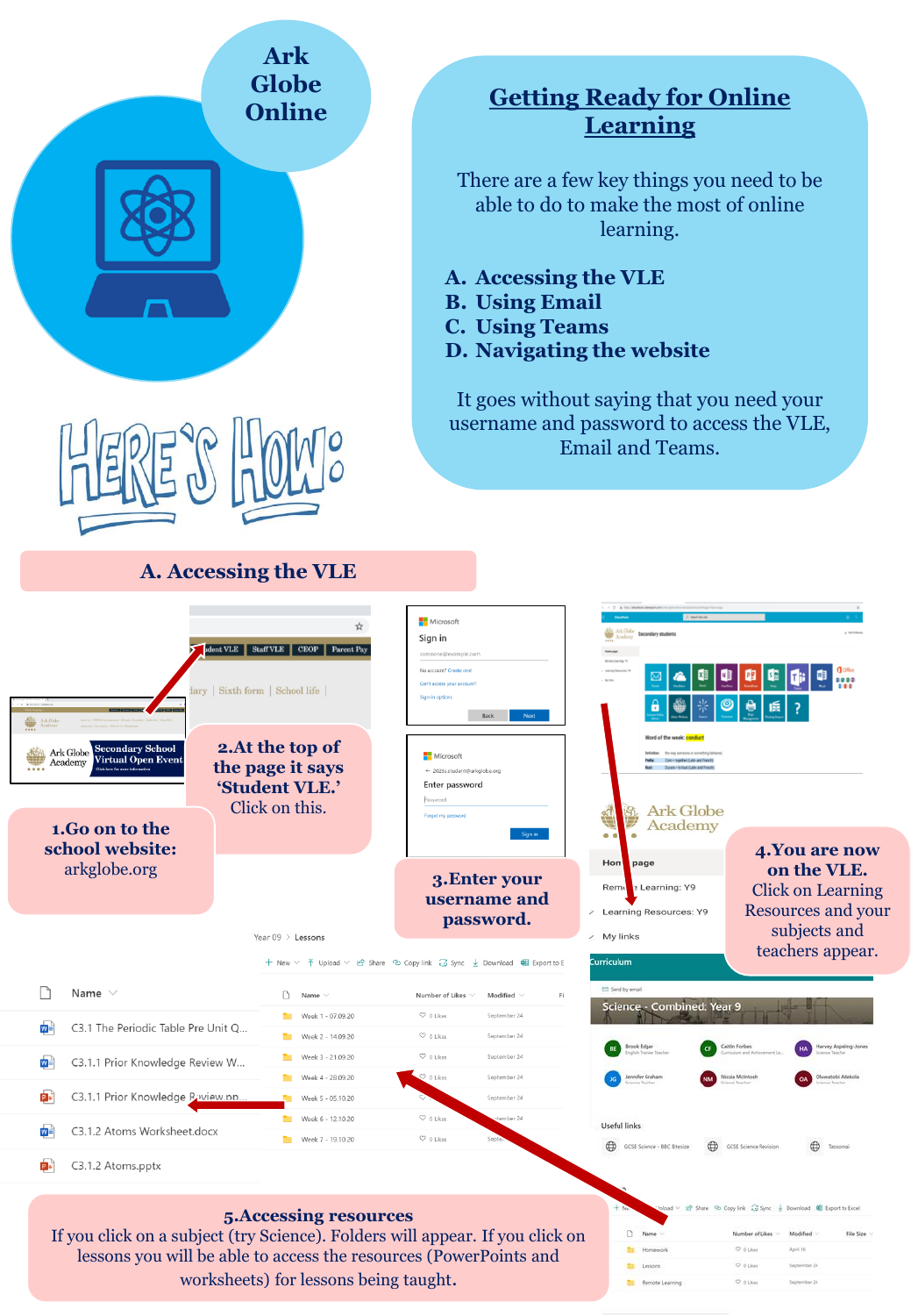| <b>Ark</b><br><b>Globe</b><br><b>Online</b>                                                                                                                                                                                             | <b>Getting Ready for Online</b><br><b>Learning</b>                                                                                                                                                                                                                                                                                                                                                                      |
|-----------------------------------------------------------------------------------------------------------------------------------------------------------------------------------------------------------------------------------------|-------------------------------------------------------------------------------------------------------------------------------------------------------------------------------------------------------------------------------------------------------------------------------------------------------------------------------------------------------------------------------------------------------------------------|
|                                                                                                                                                                                                                                         | There are a few key things you need to be<br>able to do to make the most of online<br>learning.<br>A. Accessing the VLE<br><b>B.</b> Using Email<br><b>C.</b> Using Teams<br>D. Navigating the website                                                                                                                                                                                                                  |
|                                                                                                                                                                                                                                         | It goes without saying that you need your<br>username and password to access the VLE,<br><b>Email and Teams.</b>                                                                                                                                                                                                                                                                                                        |
| A. Accessing the VLE                                                                                                                                                                                                                    |                                                                                                                                                                                                                                                                                                                                                                                                                         |
| Staff VLE<br><b>CEOP</b><br>ary   Sixth form   School life<br>2.At the top of<br><b>Secondary School</b><br>Ark Globe<br><b>Virtual Open Event</b><br>Academy<br>the page it says<br>'Student VLE.'<br>Click on this.<br>1.Go on to the | Microsoft<br>Secondary students<br>Sign in<br>someone@example.com<br>No account? Create one<br>Can't access your account<br>Sign-in option<br>Next<br>Word of the week: co<br>Microsoft<br>helle: Com - together (Latin and French)<br>Beat: Ducare + to locat it and French<br>← 2023s.student@arkglobe.org<br>Enter password<br>Password<br><b>Ark Globe</b><br>Forgot my password<br>Academy<br>Sign in<br>$\bullet$ |
| school website:<br>arkglobe.org<br>Year $09$ > Lessons                                                                                                                                                                                  | 4.You are now<br>page<br>Hon<br>on the VLE.<br>3. Enter your<br>: Learning: Y9<br>Rem<br><b>Click on Learning</b><br>username and<br>Resources and your<br>Learning Resources: Y9<br>7<br>password.<br>subjects and<br>My links                                                                                                                                                                                         |
|                                                                                                                                                                                                                                         | teachers appear.<br>Curriculum<br>+ New $\vee$ ↑ Upload $\vee$ In Share © Copy link $\mathbb{G}$ Sync $\vee$ Download 唱 Export to E                                                                                                                                                                                                                                                                                     |
| Name $\vee$<br>D<br>Name<br>Week 1 - 07.09.20                                                                                                                                                                                           | El Send by email<br>Number of Likes $\vee$<br>Modified<br>Fi<br>Science - Combined: Year 9<br>$O$ 0 Likes<br>September 24                                                                                                                                                                                                                                                                                               |
| w⊨<br>C3.1 The Periodic Table Pre Unit Q<br>Week 2 - 14.09.20                                                                                                                                                                           | $\heartsuit$ 0 Likes<br>September 24<br>Brook Edgar<br>Caitlin Forbes                                                                                                                                                                                                                                                                                                                                                   |
| Week 3 - 21.09.20<br>₩<br>C3.1.1 Prior Knowledge Review W<br>Week 4 - 28.09.20                                                                                                                                                          | $\heartsuit$ 0 Likes<br>September 24<br>$\heartsuit$ 0 Likes<br>ifer Graham<br>cola McIntosi<br>vatobi Adekola<br>September 24                                                                                                                                                                                                                                                                                          |
| Þ۶<br>C3.1.1 Prior Knowledge Raview.pp.<br>Week 5 - 05.10.20                                                                                                                                                                            | September 24                                                                                                                                                                                                                                                                                                                                                                                                            |
| Week 6 - 12.10.20<br>₩<br>C3.1.2 Atoms Worksheet.docx<br>Week 7 - 19.10.20                                                                                                                                                              | $\heartsuit$ 0 Likes<br>tember 24<br>Useful links<br>$\heartsuit$ 0 Likes<br>Septi                                                                                                                                                                                                                                                                                                                                      |
| Ŕ۶<br>C3.1.2 Atoms.pptx                                                                                                                                                                                                                 | CD GCSE Science - BBC Bitesize<br>$\oplus$<br>$\oplus$<br><b>GCSE Science Revision</b><br>Tassomai                                                                                                                                                                                                                                                                                                                      |
| 5. Accessing resources<br>If you click on a subject (try Science). Folders will appear. If you click on<br>lessons you will be able to access the resources (PowerPoints and<br>worksheets) for lessons being taught.                   | loload > et Share 9b Copy link as Sync + Download (6) Export to Excel<br>Name<br>Number of Likes<br>Modified<br>File Size<br>C 0 Likes<br>April 18<br>Homework<br><b>O</b> plans<br><b>Ell</b> Lessons<br>September 34<br>0.0166<br><b>Remote Learning</b><br>September 24                                                                                                                                              |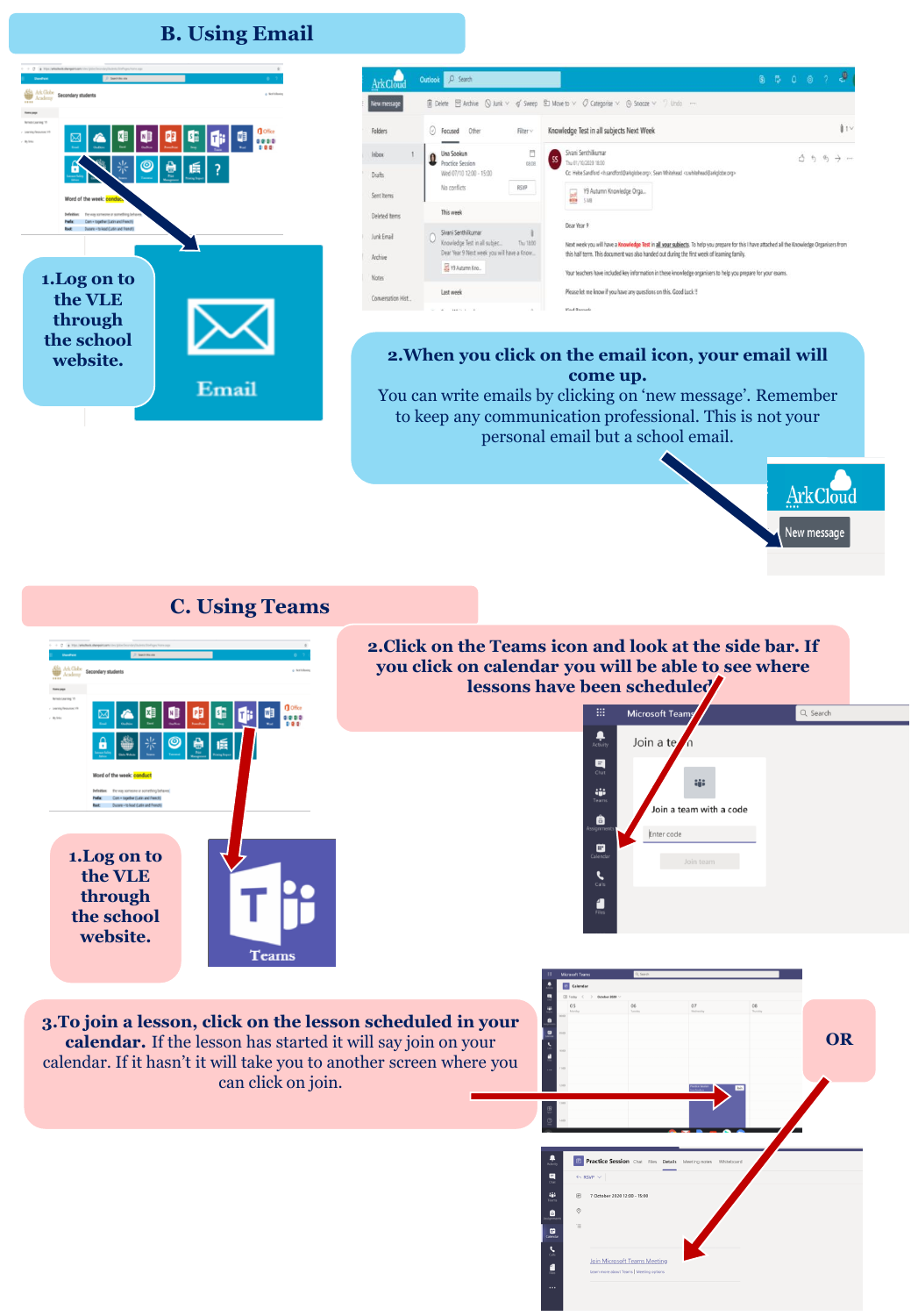## **B. Using Email**



Join Microsoft Teams Meeting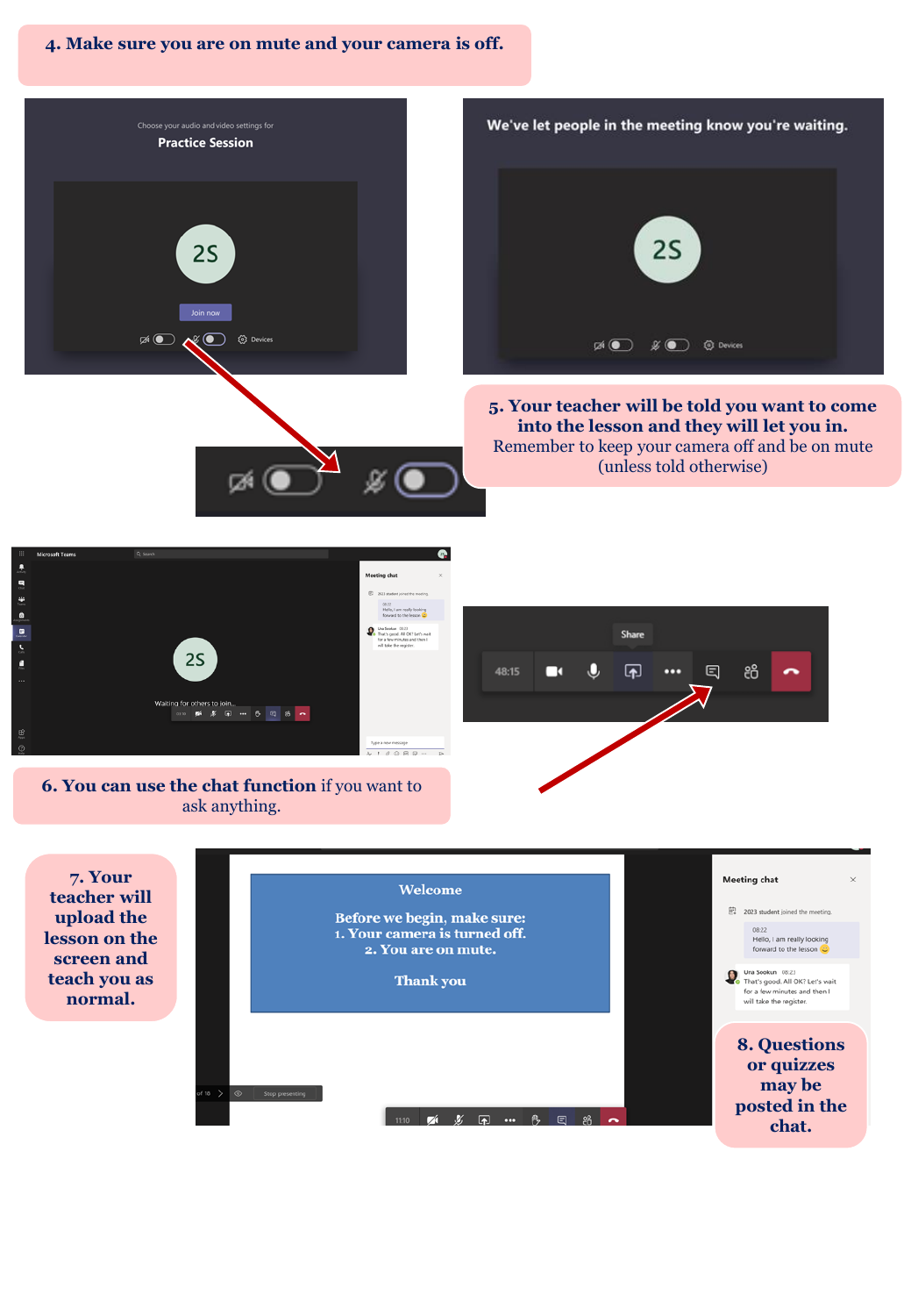**4. Make sure you are on mute and your camera is off.**